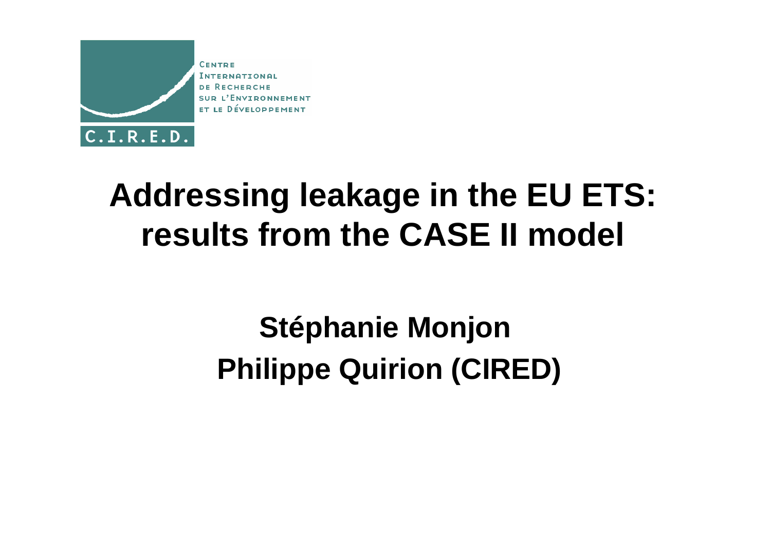

### **Addressing leakage in the EU ETS:results from the CASE II model**

#### **Stéphanie Monjon Philippe Quirion (CIRED)**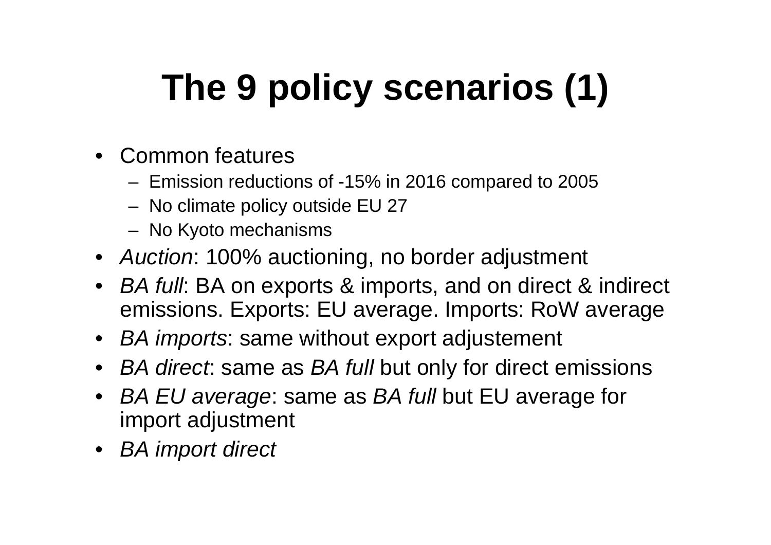# **The 9 policy scenarios (1)**

- Common features
	- –Emission reductions of -15% in 2016 compared to 2005
	- –No climate policy outside EU 27
	- –No Kyoto mechanisms
- Auction: 100% auctioning, no border adjustment
- BA full: BA on exports & imports, and on direct & indirect emissions. Exports: EU average. Imports: RoW average
- BA imports: same without export adjustement
- BA direct: same as BA full but only for direct emissions
- •BA EU average: same as BA full but EU average for import adjustment
- BA import direct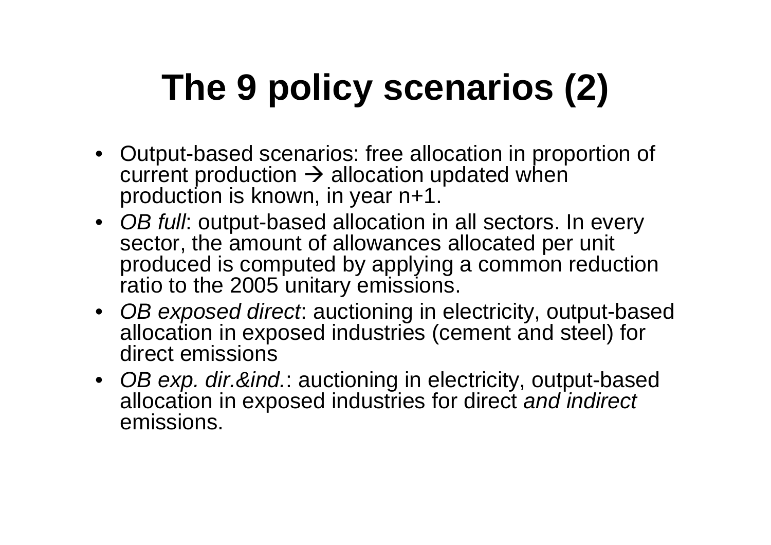## **The 9 policy scenarios (2)**

- Output-based scenarios: free allocation in proportion of current production -> allocation updated when<br>production is known, in year n+1. production is known, in year n+1.
- OB full: output-based allocation in all sectors. In every sector, the amount of allowances allocated per unit produced is computed by applying a common reductionratio to the 2005 unitary emissions.
- OB exposed direct: auctioning in electricity, output-based allocation in exposed industries (cement and steel) for direct emissions
- OB exp. dir.&ind.: auctioning in electricity, output-based allocation in exposed industries for direct and indirectemissions.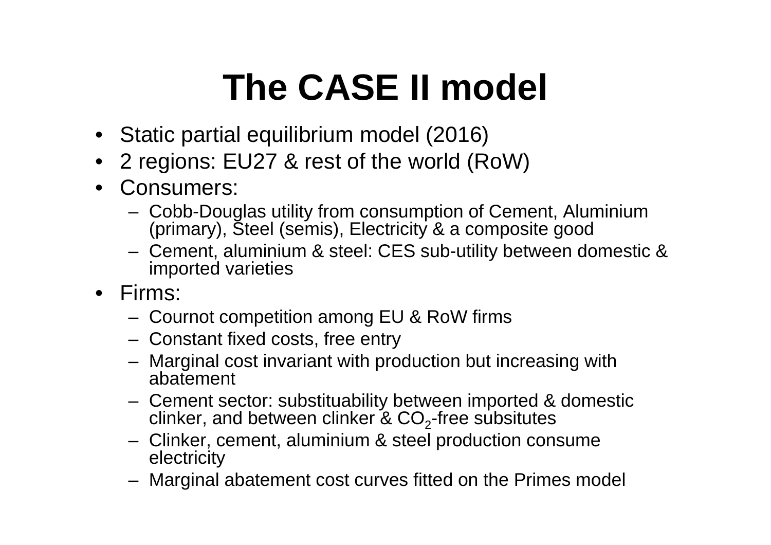## **The CASE II model**

- Static partial equilibrium model (2016)
- •2 regions: EU27 & rest of the world (RoW)
- Consumers:
	- – Cobb-Douglas utility from consumption of Cement, Aluminium (primary), Steel (semis), Electricity & a composite good
	- Camant, aluminium & staal: CES sub-utility hatwaan c Cement, aluminium & steel: CES sub-utility between domestic & imported varieties
- Firms:
	- –Cournot competition among EU & RoW firms
	- –Constant fixed costs, free entry
	- $-$  Marginal cost invariant with pro- Marginal cost invariant with production but increasing withabatement
	- – Cement sector: substituability between imported & domesticclinker, and between clinker & CO $_2$ -free subsitutes
	- $-$  Clinker cement aluminium 8 steel production cou Clinker, cement, aluminium & steel production consume electricity
	- Maroinal Marginal abatement cost curves fitted on the Primes model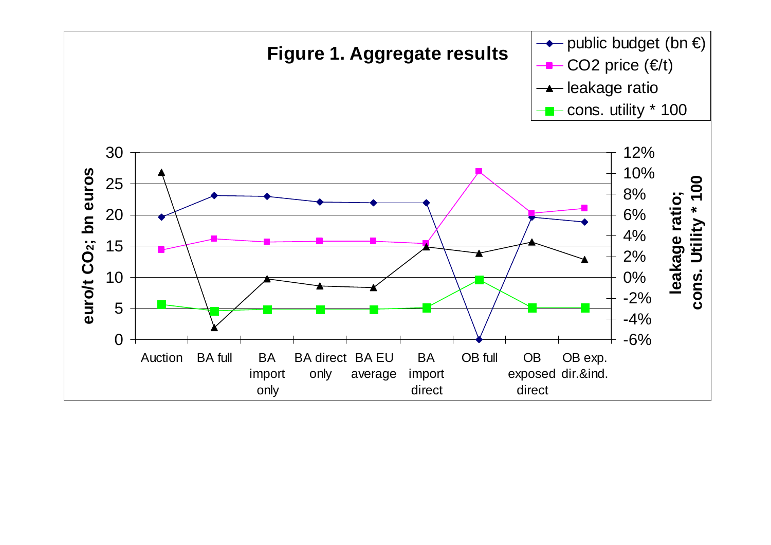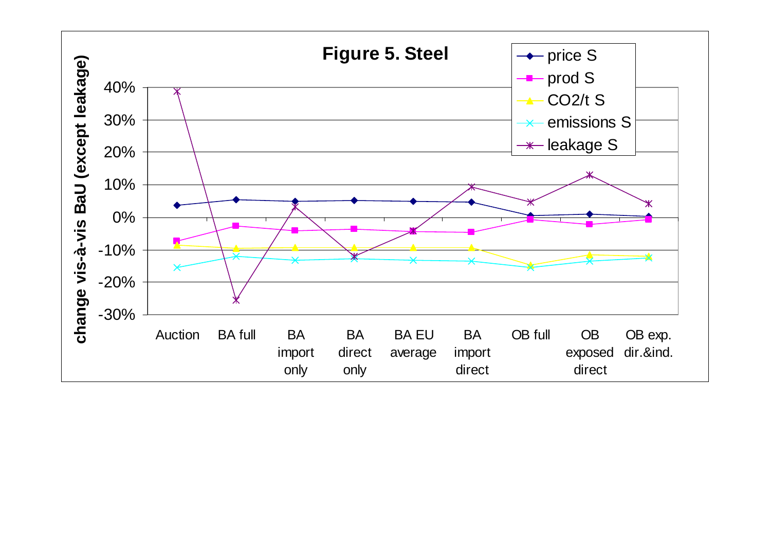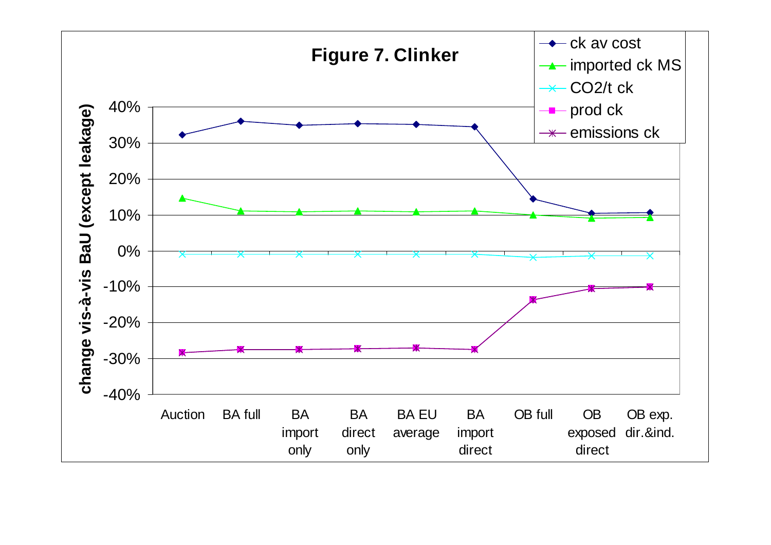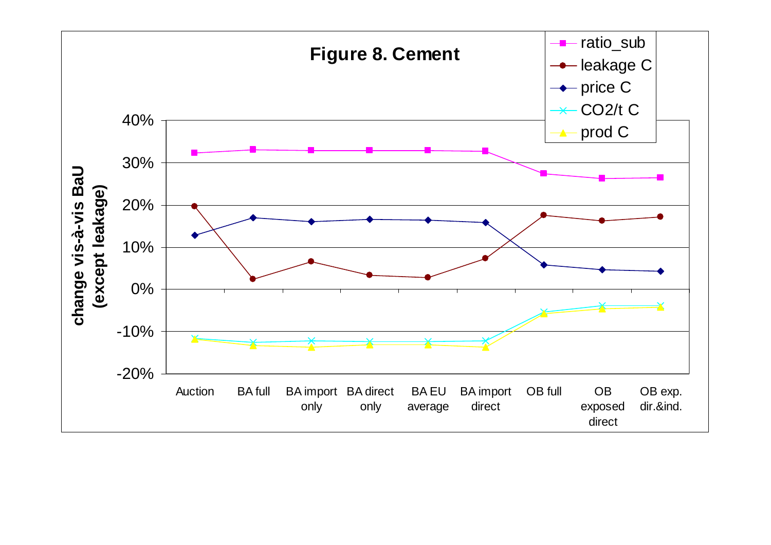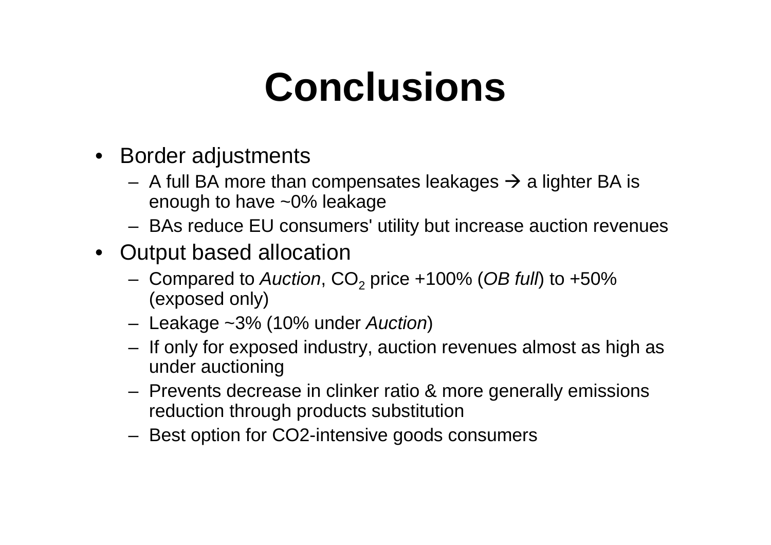## **Conclusions**

- Border adjustments
	- –A full BA more than compensates leakages  $\rightarrow$  a lighter BA is enough to have  $\approx 0\%$  leakage enough to have ~0% leakage
	- –BAs reduce EU consumers' utility but increase auction revenues
- Output based allocation
	- –Compared to Auction,  $CO<sub>2</sub>$  price +100% (OB full) to +50% (exposed only)
	- –Leakage ~3% (10% under Auction)
	- – If only for exposed industry, auction revenues almost as high as under auctioning
	- – Prevents decrease in clinker ratio & more generally emissionsreduction through products substitution
	- –Best option for CO2-intensive goods consumers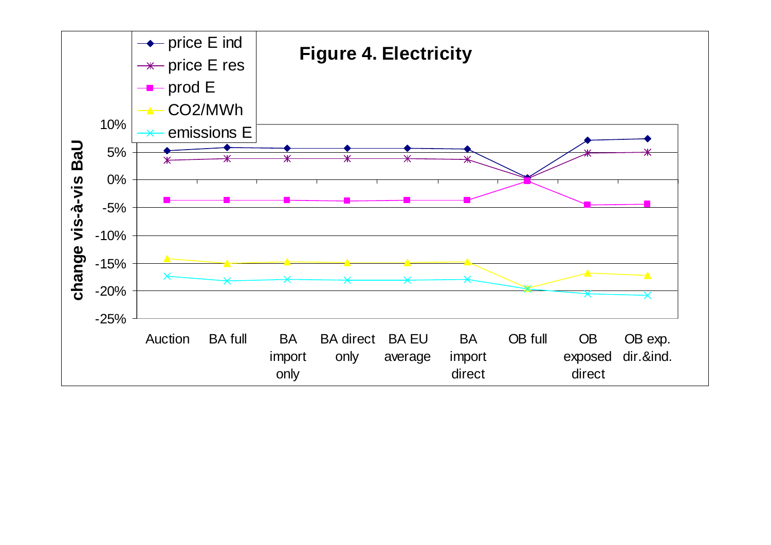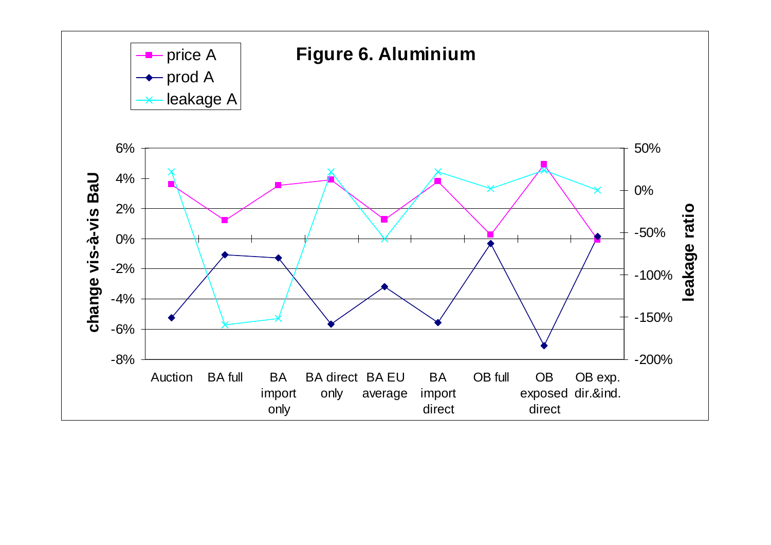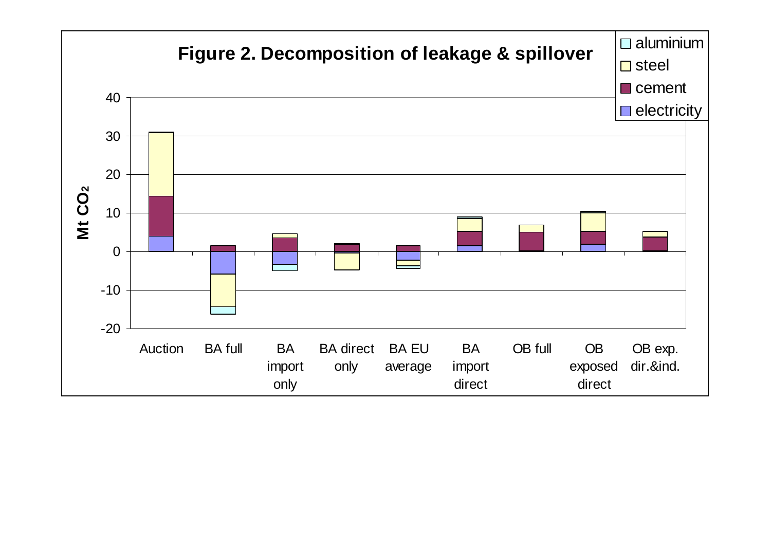